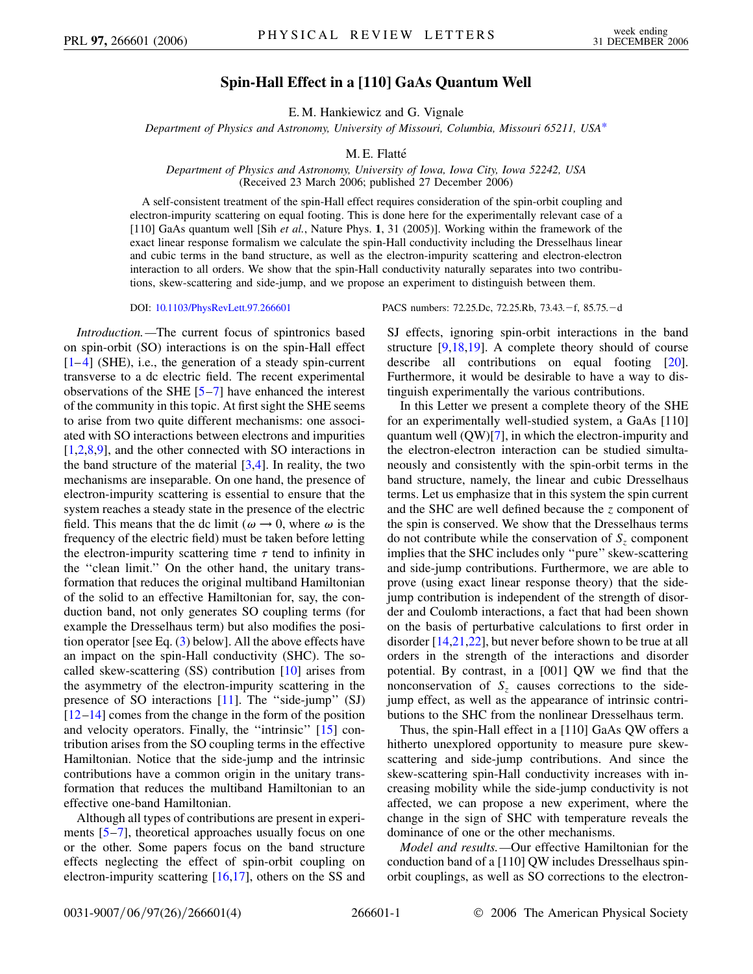## **Spin-Hall Effect in a [110] GaAs Quantum Well**

E. M. Hankiewicz and G. Vignale

<span id="page-0-0"></span>*Department of Physics and Astronomy, University of Missouri, Columbia, Missouri 65211, USA*[\\*](#page-3-0)

## M. E. Flatté

*Department of Physics and Astronomy, University of Iowa, Iowa City, Iowa 52242, USA* (Received 23 March 2006; published 27 December 2006)

A self-consistent treatment of the spin-Hall effect requires consideration of the spin-orbit coupling and electron-impurity scattering on equal footing. This is done here for the experimentally relevant case of a [110] GaAs quantum well [Sih *et al.*, Nature Phys. **1**, 31 (2005)]. Working within the framework of the exact linear response formalism we calculate the spin-Hall conductivity including the Dresselhaus linear and cubic terms in the band structure, as well as the electron-impurity scattering and electron-electron interaction to all orders. We show that the spin-Hall conductivity naturally separates into two contributions, skew-scattering and side-jump, and we propose an experiment to distinguish between them.

*Introduction.—*The current focus of spintronics based on spin-orbit (SO) interactions is on the spin-Hall effect [\[1–](#page-3-1)[4](#page-3-2)] (SHE), i.e., the generation of a steady spin-current transverse to a dc electric field. The recent experimental observations of the SHE [[5](#page-3-3)–[7](#page-3-4)] have enhanced the interest of the community in this topic. At first sight the SHE seems to arise from two quite different mechanisms: one associated with SO interactions between electrons and impurities [\[1,](#page-3-1)[2](#page-3-5)[,8](#page-3-6),[9](#page-3-7)], and the other connected with SO interactions in the band structure of the material  $[3,4]$  $[3,4]$  $[3,4]$ . In reality, the two mechanisms are inseparable. On one hand, the presence of electron-impurity scattering is essential to ensure that the system reaches a steady state in the presence of the electric field. This means that the dc limit ( $\omega \rightarrow 0$ , where  $\omega$  is the frequency of the electric field) must be taken before letting the electron-impurity scattering time  $\tau$  tend to infinity in the ''clean limit.'' On the other hand, the unitary transformation that reduces the original multiband Hamiltonian of the solid to an effective Hamiltonian for, say, the conduction band, not only generates SO coupling terms (for example the Dresselhaus term) but also modifies the position operator [see Eq. [\(3](#page-1-0)) below]. All the above effects have an impact on the spin-Hall conductivity (SHC). The socalled skew-scattering (SS) contribution [\[10\]](#page-3-9) arises from the asymmetry of the electron-impurity scattering in the presence of SO interactions [\[11\]](#page-3-10). The ''side-jump'' (SJ) [\[12](#page-3-11)[–14\]](#page-3-12) comes from the change in the form of the position and velocity operators. Finally, the ''intrinsic'' [[15](#page-3-13)] contribution arises from the SO coupling terms in the effective Hamiltonian. Notice that the side-jump and the intrinsic contributions have a common origin in the unitary transformation that reduces the multiband Hamiltonian to an effective one-band Hamiltonian.

Although all types of contributions are present in experiments  $[5-7]$  $[5-7]$  $[5-7]$ , theoretical approaches usually focus on one or the other. Some papers focus on the band structure effects neglecting the effect of spin-orbit coupling on electron-impurity scattering [\[16,](#page-3-14)[17\]](#page-3-15), others on the SS and

DOI: [10.1103/PhysRevLett.97.266601](http://dx.doi.org/10.1103/PhysRevLett.97.266601) PACS numbers: 72.25.Dc, 72.25.Rb, 73.43. - f, 85.75. - d

SJ effects, ignoring spin-orbit interactions in the band structure  $[9,18,19]$  $[9,18,19]$  $[9,18,19]$  $[9,18,19]$ . A complete theory should of course describe all contributions on equal footing [[20\]](#page-3-18). Furthermore, it would be desirable to have a way to distinguish experimentally the various contributions.

In this Letter we present a complete theory of the SHE for an experimentally well-studied system, a GaAs [110] quantum well (QW)[\[7](#page-3-4)], in which the electron-impurity and the electron-electron interaction can be studied simultaneously and consistently with the spin-orbit terms in the band structure, namely, the linear and cubic Dresselhaus terms. Let us emphasize that in this system the spin current and the SHC are well defined because the *z* component of the spin is conserved. We show that the Dresselhaus terms do not contribute while the conservation of  $S<sub>z</sub>$  component implies that the SHC includes only ''pure'' skew-scattering and side-jump contributions. Furthermore, we are able to prove (using exact linear response theory) that the sidejump contribution is independent of the strength of disorder and Coulomb interactions, a fact that had been shown on the basis of perturbative calculations to first order in disorder [[14](#page-3-12)[,21](#page-3-19)[,22\]](#page-3-20), but never before shown to be true at all orders in the strength of the interactions and disorder potential. By contrast, in a [001] QW we find that the nonconservation of  $S<sub>z</sub>$  causes corrections to the sidejump effect, as well as the appearance of intrinsic contributions to the SHC from the nonlinear Dresselhaus term.

Thus, the spin-Hall effect in a [110] GaAs QW offers a hitherto unexplored opportunity to measure pure skewscattering and side-jump contributions. And since the skew-scattering spin-Hall conductivity increases with increasing mobility while the side-jump conductivity is not affected, we can propose a new experiment, where the change in the sign of SHC with temperature reveals the dominance of one or the other mechanisms.

*Model and results.—*Our effective Hamiltonian for the conduction band of a [110] QW includes Dresselhaus spinorbit couplings, as well as SO corrections to the electron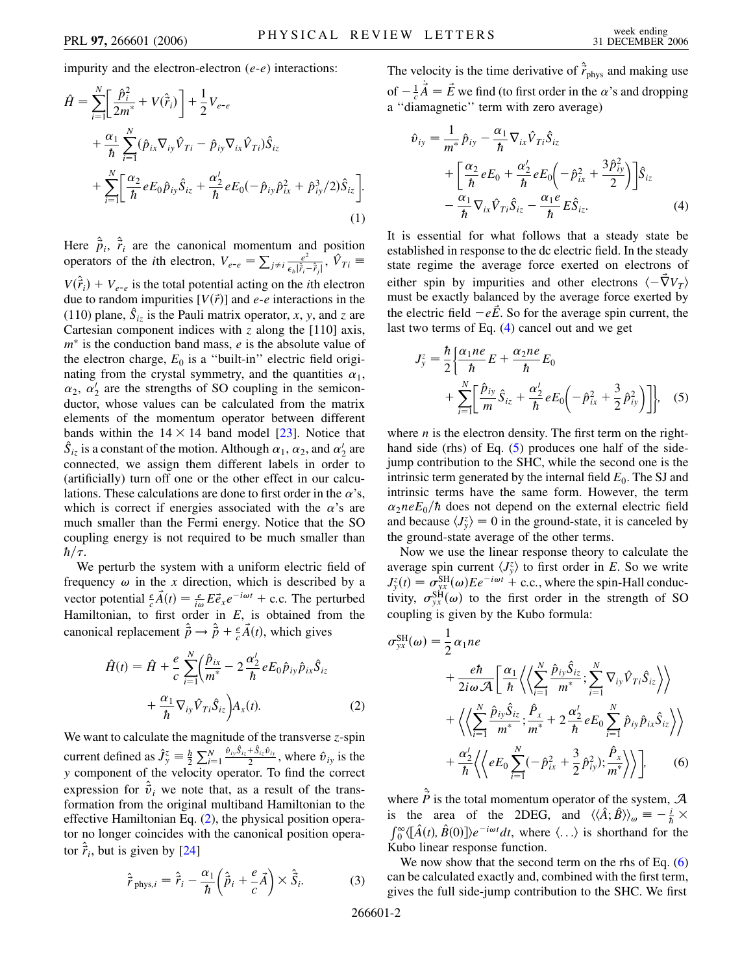impurity and the electron-electron (*e*-*e*) interactions:

$$
\hat{H} = \sum_{i=1}^{N} \left[ \frac{\hat{p}_i^2}{2m^*} + V(\hat{r}_i) \right] + \frac{1}{2} V_{e-e} \n+ \frac{\alpha_1}{\hbar} \sum_{i=1}^{N} (\hat{p}_{ix} \nabla_{iy} \hat{V}_{Ti} - \hat{p}_{iy} \nabla_{ix} \hat{V}_{Ti}) \hat{S}_{iz} \n+ \sum_{i=1}^{N} \left[ \frac{\alpha_2}{\hbar} e E_0 \hat{p}_{iy} \hat{S}_{iz} + \frac{\alpha_2'}{\hbar} e E_0 (-\hat{p}_{iy} \hat{p}_{ix}^2 + \hat{p}_{iy}^3 / 2) \hat{S}_{iz} \right].
$$
\n(1)

Here  $\hat{\vec{p}}_i$ ,  $\hat{\vec{r}}_i$  are the canonical momentum and position operators of the *i*th electron,  $V_{e-e} = \sum_{j \neq i} \frac{e^2}{\epsilon_b |\hat{r}_i - \hat{r}_j|}$ ,  $\hat{V}_{Ti} \equiv$  $V(\hat{\vec{r}}_i) + V_{e-e}$  is the total potential acting on the *i*th electron

due to random impurities  $[V(\vec{r})]$  and  $e$ - $e$  interactions in the (110) plane,  $\hat{S}_{iz}$  is the Pauli matrix operator, *x*, *y*, and *z* are Cartesian component indices with *z* along the [110] axis,  $m^*$  is the conduction band mass,  $e$  is the absolute value of the electron charge,  $E_0$  is a "built-in" electric field originating from the crystal symmetry, and the quantities  $\alpha_1$ ,  $\alpha_2$ ,  $\alpha'_2$  are the strengths of SO coupling in the semiconductor, whose values can be calculated from the matrix elements of the momentum operator between different bands within the  $14 \times 14$  band model [[23](#page-3-21)]. Notice that  $\hat{S}_{iz}$  is a constant of the motion. Although  $\alpha_1$ ,  $\alpha_2$ , and  $\alpha'_2$  are connected, we assign them different labels in order to (artificially) turn off one or the other effect in our calculations. These calculations are done to first order in the  $\alpha$ 's, which is correct if energies associated with the  $\alpha$ 's are much smaller than the Fermi energy. Notice that the SO coupling energy is not required to be much smaller than  $\hbar/\tau$ .

We perturb the system with a uniform electric field of frequency  $\omega$  in the *x* direction, which is described by a vector potential  $\frac{e}{c}\vec{A}(t) = \frac{e}{i\omega}E\vec{e}_x e^{-i\omega t}$  + c.c. The perturbed Hamiltonian, to first order in *E*, is obtained from the canonical replacement  $\hat{\vec{p}} \rightarrow \hat{\vec{p}} + \frac{e}{c}\vec{A}(t)$ , which gives

<span id="page-1-1"></span>
$$
\hat{H}(t) = \hat{H} + \frac{e}{c} \sum_{i=1}^{N} \left( \frac{\hat{p}_{ix}}{m^*} - 2 \frac{\alpha'_2}{\hbar} e E_0 \hat{p}_{iy} \hat{p}_{ix} \hat{S}_{iz} + \frac{\alpha_1}{\hbar} \nabla_{iy} \hat{V}_{Ti} \hat{S}_{iz} \right) A_x(t).
$$
\n(2)

We want to calculate the magnitude of the transverse *z*-spin current defined as  $\hat{J}^z_y \equiv \frac{\hbar}{2} \sum_{i=1}^N \frac{\partial_{ij} \hat{S}_{iz} + \hat{S}_{iz} \hat{v}_{iy}}{2}$ , where  $\hat{v}_{iy}$  is the *y* component of the velocity operator. To find the correct expression for  $\hat{v}_i$  we note that, as a result of the transformation from the original multiband Hamiltonian to the effective Hamiltonian Eq. ([2\)](#page-1-1), the physical position operator no longer coincides with the canonical position operator  $\hat{\vec{r}}_i$ , but is given by [\[24](#page-3-22)]

<span id="page-1-0"></span>
$$
\hat{\vec{r}}_{\text{phys},i} = \hat{\vec{r}}_i - \frac{\alpha_1}{\hbar} \left( \hat{\vec{p}}_i + \frac{e}{c} \vec{A} \right) \times \hat{\vec{S}}_i.
$$
 (3)

The velocity is the time derivative of  $\hat{\vec{r}}_{\text{phys}}$  and making use of  $-\frac{1}{c}\vec{A} = \vec{E}$  we find (to first order in the *a*'s and dropping \_ a ''diamagnetic'' term with zero average)

<span id="page-1-2"></span>
$$
\hat{v}_{iy} = \frac{1}{m^*} \hat{p}_{iy} - \frac{\alpha_1}{\hbar} \nabla_{ix} \hat{V}_{Ti} \hat{S}_{iz} \n+ \left[ \frac{\alpha_2}{\hbar} e E_0 + \frac{\alpha_2'}{\hbar} e E_0 \left( -\hat{p}_{ix}^2 + \frac{3\hat{p}_{iy}^2}{2} \right) \right] \hat{S}_{iz} \n- \frac{\alpha_1}{\hbar} \nabla_{ix} \hat{V}_{Ti} \hat{S}_{iz} - \frac{\alpha_1 e}{\hbar} E \hat{S}_{iz}.
$$
\n(4)

It is essential for what follows that a steady state be established in response to the dc electric field. In the steady state regime the average force exerted on electrons of either spin by impurities and other electrons  $\langle -\nabla V_T \rangle$ must be exactly balanced by the average force exerted by the electric field  $-e\vec{E}$ . So for the average spin current, the last two terms of Eq. [\(4](#page-1-2)) cancel out and we get

<span id="page-1-3"></span>
$$
J_y^z = \frac{\hbar}{2} \left\{ \frac{\alpha_1 n e}{\hbar} E + \frac{\alpha_2 n e}{\hbar} E_0 + \sum_{i=1}^N \left[ \frac{\hat{p}_{iy}}{m} \hat{S}_{iz} + \frac{\alpha_2'}{\hbar} e E_0 \left( -\hat{p}_{ix}^2 + \frac{3}{2} \hat{p}_{iy}^2 \right) \right] \right\}, \quad (5)
$$

where  $n$  is the electron density. The first term on the right-hand side (rhs) of Eq. [\(5\)](#page-1-3) produces one half of the sidejump contribution to the SHC, while the second one is the intrinsic term generated by the internal field  $E_0$ . The SJ and intrinsic terms have the same form. However, the term  $\alpha_2 n e E_0 / \hbar$  does not depend on the external electric field and because  $\langle J_y^z \rangle = 0$  in the ground-state, it is canceled by the ground-state average of the other terms.

Now we use the linear response theory to calculate the average spin current  $\langle J_y^z \rangle$  to first order in *E*. So we write  $J_{y}^{z}(t) = \sigma_{yx}^{\text{SH}}(\omega) E e^{-i\omega t} + \text{c.c.}$ , where the spin-Hall conductivity,  $\sigma_{yx}^{SH}(\omega)$  to the first order in the strength of SO coupling is given by the Kubo formula:

<span id="page-1-4"></span>
$$
\sigma_{yx}^{\text{SH}}(\omega) = \frac{1}{2} \alpha_1 n e
$$
  
+ 
$$
\frac{e\hbar}{2i\omega \mathcal{A}} \left[ \frac{\alpha_1}{\hbar} \left\langle \left\langle \sum_{i=1}^N \frac{\hat{p}_{iy} \hat{S}_{iz}}{m^*} ; \sum_{i=1}^N \nabla_{iy} \hat{V}_{Ti} \hat{S}_{iz} \right\rangle \right\rangle
$$
  
+ 
$$
\left\langle \left\langle \sum_{i=1}^N \frac{\hat{p}_{iy} \hat{S}_{iz}}{m^*} ; \frac{\hat{P}_x}{m^*} + 2 \frac{\alpha_2'}{\hbar} e E_0 \sum_{i=1}^N \hat{p}_{iy} \hat{p}_{ix} \hat{S}_{iz} \right\rangle \right\rangle
$$
  
+ 
$$
\frac{\alpha_2'}{\hbar} \left\langle \left\langle e E_0 \sum_{i=1}^N (-\hat{p}_{ix}^2 + \frac{3}{2} \hat{p}_{iy}^2) ; \frac{\hat{P}_x}{m^*} \right\rangle \right\rangle, \qquad (6)
$$

where  $\hat{\vec{P}}$  is the total momentum operator of the system,  $\vec{A}$ is the area of the 2DEG, and  $\langle \langle \hat{A}; \hat{B} \rangle \rangle_{\omega} = -\frac{i}{\hbar} \times$  $\int_0^\infty (\hat{A}(t), \hat{B}(0)) e^{-i\omega t} dt$ , where  $\langle ... \rangle$  is shorthand for the Kubo linear response function.

We now show that the second term on the rhs of Eq. [\(6\)](#page-1-4) can be calculated exactly and, combined with the first term, gives the full side-jump contribution to the SHC. We first

266601-2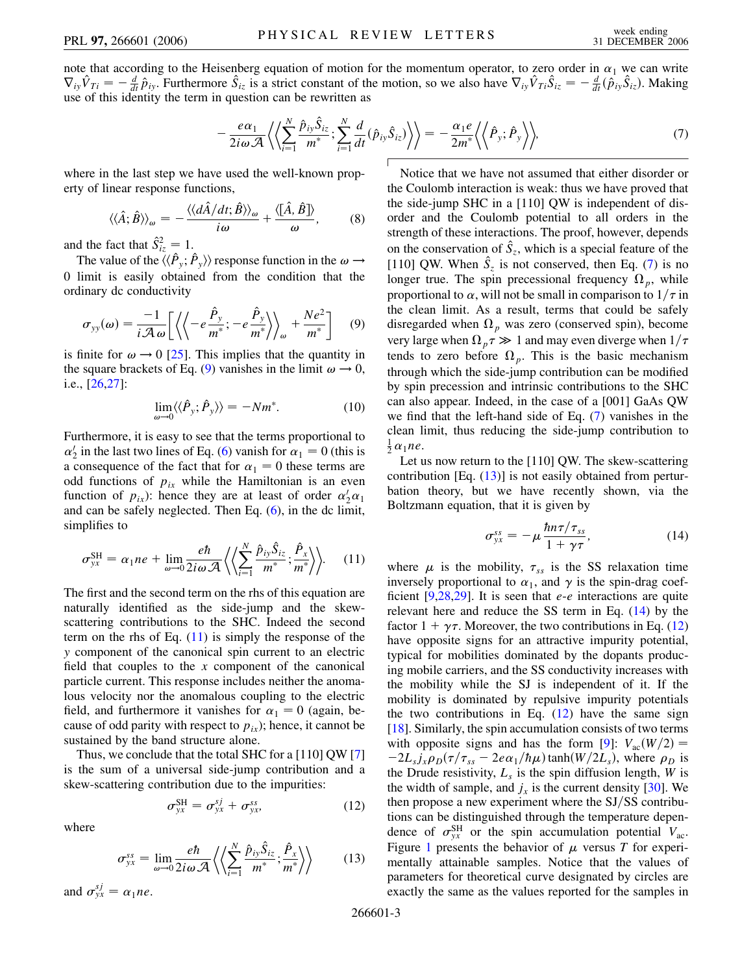<span id="page-2-2"></span>note that according to the Heisenberg equation of motion for the momentum operator, to zero order in  $\alpha_1$  we can write  $\nabla_{iy}\hat{V}_{Ti} = -\frac{d}{dt}\hat{p}_{iy}$ . Furthermore  $\hat{S}_{iz}$  is a strict constant of the motion, so we also have  $\nabla_{iy}\hat{V}_{Ti}\hat{S}_{iz} = -\frac{d}{dt}(\hat{p}_{iy}\hat{S}_{iz})$ . Making use of this identity the term in question can be rewritten as

$$
-\frac{e\alpha_1}{2i\omega A}\left\langle \left\langle \sum_{i=1}^N \frac{\hat{p}_{iy}\hat{S}_{iz}}{m^*}; \sum_{i=1}^N \frac{d}{dt}(\hat{p}_{iy}\hat{S}_{iz}) \right\rangle \right\rangle = -\frac{\alpha_1 e}{2m^*} \left\langle \left\langle \hat{P}_{y}; \hat{P}_{y} \right\rangle \right\rangle, \tag{7}
$$

where in the last step we have used the well-known property of linear response functions,

$$
\langle\langle \hat{A};\hat{B}\rangle\rangle_{\omega} = -\frac{\langle\langle d\hat{A}/dt;\hat{B}\rangle\rangle_{\omega}}{i\omega} + \frac{\langle[\hat{A},\hat{B}]\rangle}{\omega},\qquad(8)
$$

and the fact that  $\hat{S}^2_{iz} = 1$ .

The value of the  $\langle\langle \hat{P}_y; \hat{P}_y \rangle\rangle$  response function in the  $\omega \rightarrow$ 0 limit is easily obtained from the condition that the ordinary dc conductivity

<span id="page-2-0"></span>
$$
\sigma_{yy}(\omega) = \frac{-1}{i\mathcal{A}\,\omega} \bigg[ \left\langle \left\langle -e\frac{\hat{P}_y}{m^*}; -e\frac{\hat{P}_y}{m^*} \right\rangle \right\rangle_{\omega} + \frac{Ne^2}{m^*} \bigg] \tag{9}
$$

is finite for  $\omega \rightarrow 0$  [[25](#page-3-23)]. This implies that the quantity in the square brackets of Eq. ([9\)](#page-2-0) vanishes in the limit  $\omega \rightarrow 0$ , i.e., [[26](#page-3-24),[27](#page-3-25)]:

$$
\lim_{\omega \to 0} \langle \langle \hat{P}_y; \hat{P}_y \rangle \rangle = -Nm^*.
$$
 (10)

Furthermore, it is easy to see that the terms proportional to  $\alpha'_{2}$  in the last two lines of Eq. [\(6](#page-1-4)) vanish for  $\alpha_{1} = 0$  (this is a consequence of the fact that for  $\alpha_1 = 0$  these terms are odd functions of  $p_{ix}$  while the Hamiltonian is an even function of  $p_{ix}$ ): hence they are at least of order  $\alpha'_2 \alpha_1$ and can be safely neglected. Then Eq. [\(6](#page-1-4)), in the dc limit, simplifies to

<span id="page-2-1"></span>
$$
\sigma_{yx}^{\text{SH}} = \alpha_1 n e + \lim_{\omega \to 0} \frac{e \hbar}{2 i \omega \mathcal{A}} \left\langle \left\langle \sum_{i=1}^N \frac{\hat{p}_{iy} \hat{S}_{iz}}{m^*}; \frac{\hat{P}_x}{m^*} \right\rangle \right\rangle. \tag{11}
$$

The first and the second term on the rhs of this equation are naturally identified as the side-jump and the skewscattering contributions to the SHC. Indeed the second term on the rhs of Eq.  $(11)$  is simply the response of the *y* component of the canonical spin current to an electric field that couples to the *x* component of the canonical particle current. This response includes neither the anomalous velocity nor the anomalous coupling to the electric field, and furthermore it vanishes for  $\alpha_1 = 0$  (again, because of odd parity with respect to  $p_{ix}$ ); hence, it cannot be sustained by the band structure alone.

<span id="page-2-5"></span>Thus, we conclude that the total SHC for a [110] QW [\[7\]](#page-3-4) is the sum of a universal side-jump contribution and a skew-scattering contribution due to the impurities:

$$
\sigma_{yx}^{\text{SH}} = \sigma_{yx}^{sj} + \sigma_{yx}^{ss}, \qquad (12)
$$

<span id="page-2-3"></span>where

$$
\sigma_{yx}^{ss} = \lim_{\omega \to 0} \frac{e\hbar}{2i\omega \mathcal{A}} \left\langle \left\langle \sum_{i=1}^{N} \frac{\hat{p}_{iy} \hat{S}_{iz}}{m^*}; \frac{\hat{P}_x}{m^*} \right\rangle \right\rangle \tag{13}
$$

and  $\sigma_{yx}^{sj} = \alpha_1 n e$ .

Notice that we have not assumed that either disorder or the Coulomb interaction is weak: thus we have proved that the side-jump SHC in a [110] QW is independent of disorder and the Coulomb potential to all orders in the strength of these interactions. The proof, however, depends on the conservation of  $\hat{S}_z$ , which is a special feature of the [110] QW. When  $\hat{S}_z$  is not conserved, then Eq. [\(7\)](#page-2-2) is no longer true. The spin precessional frequency  $\Omega_p$ , while proportional to  $\alpha$ , will not be small in comparison to  $1/\tau$  in the clean limit. As a result, terms that could be safely disregarded when  $\Omega_p$  was zero (conserved spin), become very large when  $\Omega_p \tau \gg 1$  and may even diverge when  $1/\tau$ tends to zero before  $\Omega_p$ . This is the basic mechanism through which the side-jump contribution can be modified by spin precession and intrinsic contributions to the SHC can also appear. Indeed, in the case of a [001] GaAs QW we find that the left-hand side of Eq. [\(7](#page-2-2)) vanishes in the clean limit, thus reducing the side-jump contribution to  $\frac{1}{2} \alpha_1 n e$ .

<span id="page-2-4"></span>Let us now return to the [110] QW. The skew-scattering contribution  $[Eq. (13)]$  $[Eq. (13)]$  $[Eq. (13)]$  is not easily obtained from perturbation theory, but we have recently shown, via the Boltzmann equation, that it is given by

$$
\sigma_{yx}^{ss} = -\mu \frac{\hbar n\tau/\tau_{ss}}{1+\gamma\tau},\tag{14}
$$

where  $\mu$  is the mobility,  $\tau_{ss}$  is the SS relaxation time inversely proportional to  $\alpha_1$ , and  $\gamma$  is the spin-drag coefficient [\[9,](#page-3-7)[28,](#page-3-26)[29\]](#page-3-27). It is seen that *e*-*e* interactions are quite relevant here and reduce the SS term in Eq. ([14](#page-2-4)) by the factor  $1 + \gamma \tau$ . Moreover, the two contributions in Eq. [\(12\)](#page-2-5) have opposite signs for an attractive impurity potential, typical for mobilities dominated by the dopants producing mobile carriers, and the SS conductivity increases with the mobility while the SJ is independent of it. If the mobility is dominated by repulsive impurity potentials the two contributions in Eq.  $(12)$  have the same sign [\[18\]](#page-3-16). Similarly, the spin accumulation consists of two terms with opposite signs and has the form [\[9](#page-3-7)]:  $V_{ac}(W/2) =$  $-2L_s j_x \rho_D(\tau/\tau_{ss} - 2e\alpha_1/\hbar\mu)$  tanh( $W/2L_s$ ), where  $\rho_D$  is the Drude resistivity,  $L_s$  is the spin diffusion length, *W* is the width of sample, and  $j_x$  is the current density [[30](#page-3-28)]. We then propose a new experiment where the SJ/SS contributions can be distinguished through the temperature dependence of  $\sigma_{yx}^{SH}$  or the spin accumulation potential  $V_{ac}$ . Figure [1](#page-3-29) presents the behavior of  $\mu$  versus *T* for experimentally attainable samples. Notice that the values of parameters for theoretical curve designated by circles are exactly the same as the values reported for the samples in